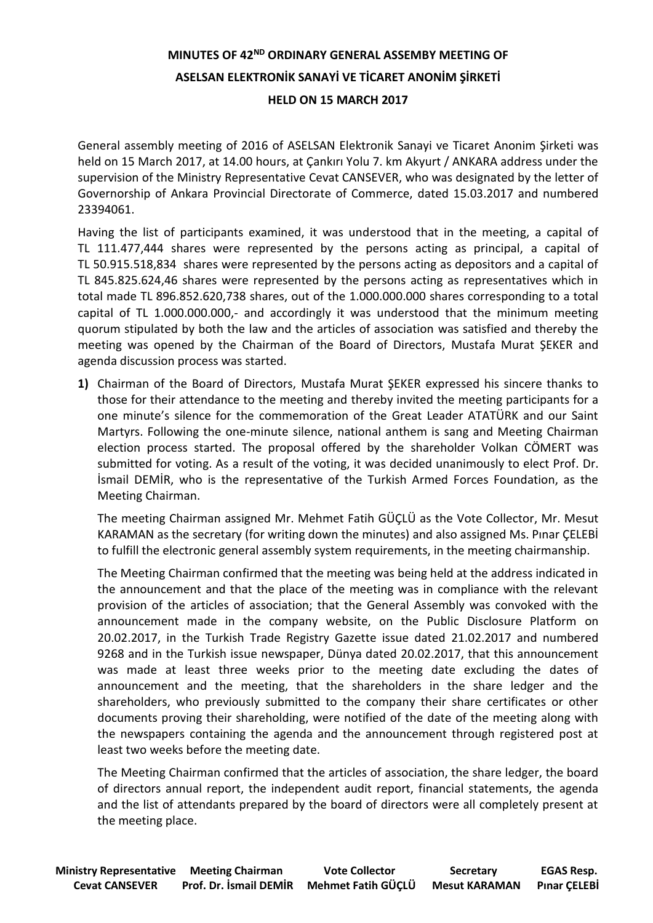## **MINUTES OF 42<sup>ND</sup> ORDINARY GENERAL ASSEMBY MEETING OF ASELSAN ELEKTRONİK SANAYİ VE TİCARET ANONİM ŞİRKETİ HELD ON 15 MARCH 2017**

General assembly meeting of 2016 of ASELSAN Elektronik Sanayi ve Ticaret Anonim Şirketi was held on 15 March 2017, at 14.00 hours, at Çankırı Yolu 7. km Akyurt / ANKARA address under the supervision of the Ministry Representative Cevat CANSEVER, who was designated by the letter of Governorship of Ankara Provincial Directorate of Commerce, dated 15.03.2017 and numbered 23394061.

Having the list of participants examined, it was understood that in the meeting, a capital of TL 111.477,444 shares were represented by the persons acting as principal, a capital of TL 50.915.518,834 shares were represented by the persons acting as depositors and a capital of TL 845.825.624,46 shares were represented by the persons acting as representatives which in total made TL 896.852.620,738 shares, out of the 1.000.000.000 shares corresponding to a total capital of TL 1.000.000.000,- and accordingly it was understood that the minimum meeting quorum stipulated by both the law and the articles of association was satisfied and thereby the meeting was opened by the Chairman of the Board of Directors, Mustafa Murat ŞEKER and agenda discussion process was started.

**1)** Chairman of the Board of Directors, Mustafa Murat ŞEKER expressed his sincere thanks to those for their attendance to the meeting and thereby invited the meeting participants for a one minute's silence for the commemoration of the Great Leader ATATÜRK and our Saint Martyrs. Following the one-minute silence, national anthem is sang and Meeting Chairman election process started. The proposal offered by the shareholder Volkan CÖMERT was submitted for voting. As a result of the voting, it was decided unanimously to elect Prof. Dr. İsmail DEMİR, who is the representative of the Turkish Armed Forces Foundation, as the Meeting Chairman.

The meeting Chairman assigned Mr. Mehmet Fatih GÜÇLÜ as the Vote Collector, Mr. Mesut KARAMAN as the secretary (for writing down the minutes) and also assigned Ms. Pınar ÇELEBİ to fulfill the electronic general assembly system requirements, in the meeting chairmanship.

The Meeting Chairman confirmed that the meeting was being held at the address indicated in the announcement and that the place of the meeting was in compliance with the relevant provision of the articles of association; that the General Assembly was convoked with the announcement made in the company website, on the Public Disclosure Platform on 20.02.2017, in the Turkish Trade Registry Gazette issue dated 21.02.2017 and numbered 9268 and in the Turkish issue newspaper, Dünya dated 20.02.2017, that this announcement was made at least three weeks prior to the meeting date excluding the dates of announcement and the meeting, that the shareholders in the share ledger and the shareholders, who previously submitted to the company their share certificates or other documents proving their shareholding, were notified of the date of the meeting along with the newspapers containing the agenda and the announcement through registered post at least two weeks before the meeting date.

The Meeting Chairman confirmed that the articles of association, the share ledger, the board of directors annual report, the independent audit report, financial statements, the agenda and the list of attendants prepared by the board of directors were all completely present at the meeting place.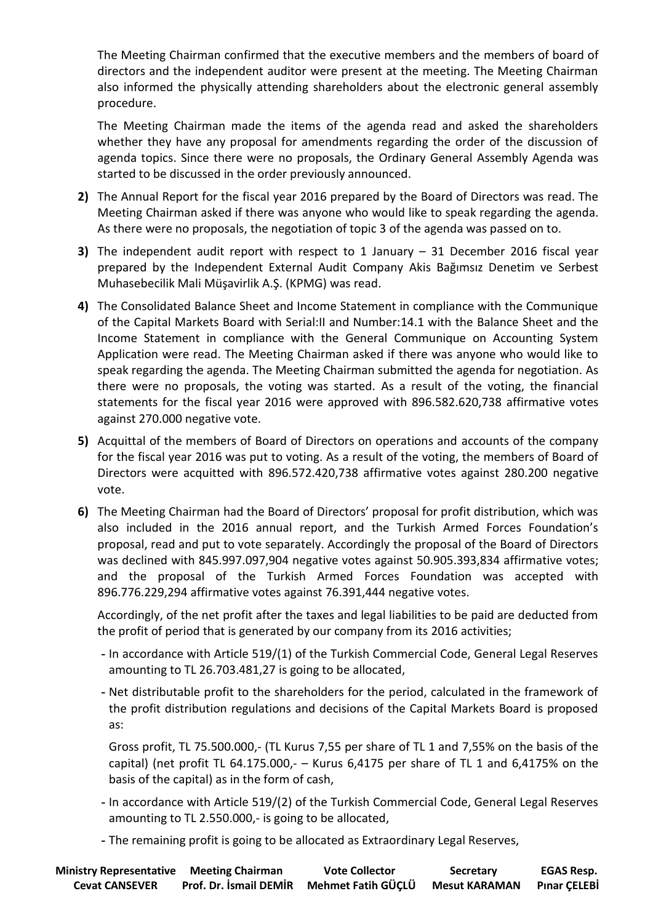The Meeting Chairman confirmed that the executive members and the members of board of directors and the independent auditor were present at the meeting. The Meeting Chairman also informed the physically attending shareholders about the electronic general assembly procedure.

The Meeting Chairman made the items of the agenda read and asked the shareholders whether they have any proposal for amendments regarding the order of the discussion of agenda topics. Since there were no proposals, the Ordinary General Assembly Agenda was started to be discussed in the order previously announced.

- **2)** The Annual Report for the fiscal year 2016 prepared by the Board of Directors was read. The Meeting Chairman asked if there was anyone who would like to speak regarding the agenda. As there were no proposals, the negotiation of topic 3 of the agenda was passed on to.
- **3)** The independent audit report with respect to 1 January 31 December 2016 fiscal year prepared by the Independent External Audit Company Akis Bağımsız Denetim ve Serbest Muhasebecilik Mali Müşavirlik A.Ş. (KPMG) was read.
- **4)** The Consolidated Balance Sheet and Income Statement in compliance with the Communique of the Capital Markets Board with Serial:II and Number:14.1 with the Balance Sheet and the Income Statement in compliance with the General Communique on Accounting System Application were read. The Meeting Chairman asked if there was anyone who would like to speak regarding the agenda. The Meeting Chairman submitted the agenda for negotiation. As there were no proposals, the voting was started. As a result of the voting, the financial statements for the fiscal year 2016 were approved with 896.582.620,738 affirmative votes against 270.000 negative vote.
- **5)** Acquittal of the members of Board of Directors on operations and accounts of the company for the fiscal year 2016 was put to voting. As a result of the voting, the members of Board of Directors were acquitted with 896.572.420,738 affirmative votes against 280.200 negative vote.
- **6)** The Meeting Chairman had the Board of Directors' proposal for profit distribution, which was also included in the 2016 annual report, and the Turkish Armed Forces Foundation's proposal, read and put to vote separately. Accordingly the proposal of the Board of Directors was declined with 845.997.097,904 negative votes against 50.905.393,834 affirmative votes; and the proposal of the Turkish Armed Forces Foundation was accepted with 896.776.229,294 affirmative votes against 76.391,444 negative votes.

Accordingly, of the net profit after the taxes and legal liabilities to be paid are deducted from the profit of period that is generated by our company from its 2016 activities;

- **-** In accordance with Article 519/(1) of the Turkish Commercial Code, General Legal Reserves amounting to TL 26.703.481,27 is going to be allocated,
- **-** Net distributable profit to the shareholders for the period, calculated in the framework of the profit distribution regulations and decisions of the Capital Markets Board is proposed as:

Gross profit, TL 75.500.000,- (TL Kurus 7,55 per share of TL 1 and 7,55% on the basis of the capital) (net profit TL 64.175.000, $-$  Kurus 6,4175 per share of TL 1 and 6,4175% on the basis of the capital) as in the form of cash,

- **-** In accordance with Article 519/(2) of the Turkish Commercial Code, General Legal Reserves amounting to TL 2.550.000,- is going to be allocated,
- **-** The remaining profit is going to be allocated as Extraordinary Legal Reserves,

| <b>Ministry Representative Meeting Chairman</b> |                               | <b>Vote Collector</b>            | Secretary | <b>EGAS Resp.</b>   |
|-------------------------------------------------|-------------------------------|----------------------------------|-----------|---------------------|
| <b>Cevat CANSEVER</b>                           | <b>Prof. Dr. Ismail DEMIR</b> | Mehmet Fatih GÜÇLÜ Mesut KARAMAN |           | <b>Pinar CELEBİ</b> |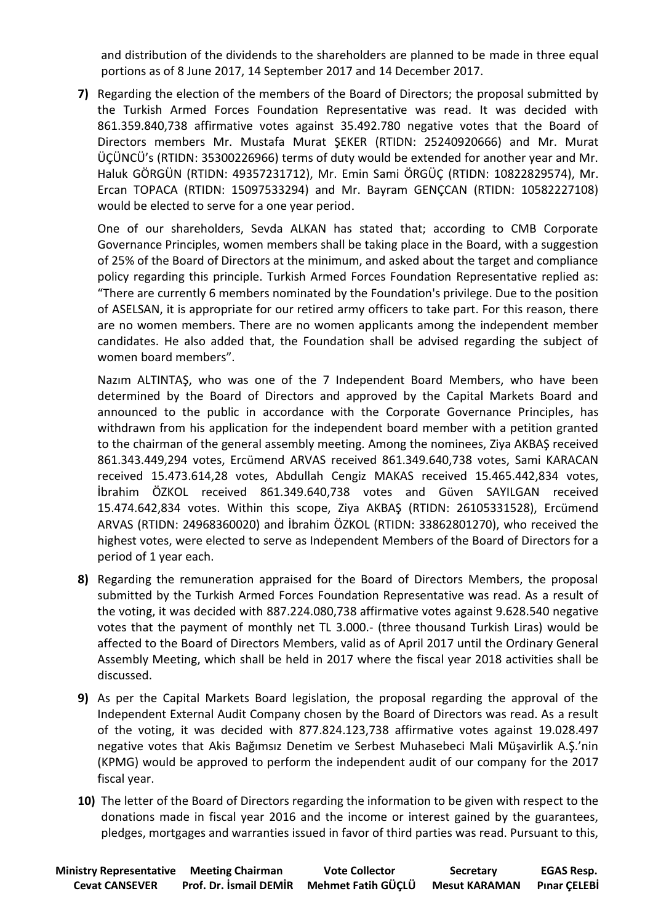and distribution of the dividends to the shareholders are planned to be made in three equal portions as of 8 June 2017, 14 September 2017 and 14 December 2017.

**7)** Regarding the election of the members of the Board of Directors; the proposal submitted by the Turkish Armed Forces Foundation Representative was read. It was decided with 861.359.840,738 affirmative votes against 35.492.780 negative votes that the Board of Directors members Mr. Mustafa Murat ŞEKER (RTIDN: 25240920666) and Mr. Murat ÜÇÜNCÜ's (RTIDN: 35300226966) terms of duty would be extended for another year and Mr. Haluk GÖRGÜN (RTIDN: 49357231712), Mr. Emin Sami ÖRGÜÇ (RTIDN: 10822829574), Mr. Ercan TOPACA (RTIDN: 15097533294) and Mr. Bayram GENÇCAN (RTIDN: 10582227108) would be elected to serve for a one year period.

One of our shareholders, Sevda ALKAN has stated that; according to CMB Corporate Governance Principles, women members shall be taking place in the Board, with a suggestion of 25% of the Board of Directors at the minimum, and asked about the target and compliance policy regarding this principle. Turkish Armed Forces Foundation Representative replied as: "There are currently 6 members nominated by the Foundation's privilege. Due to the position of ASELSAN, it is appropriate for our retired army officers to take part. For this reason, there are no women members. There are no women applicants among the independent member candidates. He also added that, the Foundation shall be advised regarding the subject of women board members".

Nazım ALTINTAŞ, who was one of the 7 Independent Board Members, who have been determined by the Board of Directors and approved by the Capital Markets Board and announced to the public in accordance with the Corporate Governance Principles, has withdrawn from his application for the independent board member with a petition granted to the chairman of the general assembly meeting. Among the nominees, Ziya AKBAŞ received 861.343.449,294 votes, Ercümend ARVAS received 861.349.640,738 votes, Sami KARACAN received 15.473.614,28 votes, Abdullah Cengiz MAKAS received 15.465.442,834 votes, İbrahim ÖZKOL received 861.349.640,738 votes and Güven SAYILGAN received 15.474.642,834 votes. Within this scope, Ziya AKBAŞ (RTIDN: 26105331528), Ercümend ARVAS (RTIDN: 24968360020) and İbrahim ÖZKOL (RTIDN: 33862801270), who received the highest votes, were elected to serve as Independent Members of the Board of Directors for a period of 1 year each.

- **8)** Regarding the remuneration appraised for the Board of Directors Members, the proposal submitted by the Turkish Armed Forces Foundation Representative was read. As a result of the voting, it was decided with 887.224.080,738 affirmative votes against 9.628.540 negative votes that the payment of monthly net TL 3.000.- (three thousand Turkish Liras) would be affected to the Board of Directors Members, valid as of April 2017 until the Ordinary General Assembly Meeting, which shall be held in 2017 where the fiscal year 2018 activities shall be discussed.
- **9)** As per the Capital Markets Board legislation, the proposal regarding the approval of the Independent External Audit Company chosen by the Board of Directors was read. As a result of the voting, it was decided with 877.824.123,738 affirmative votes against 19.028.497 negative votes that Akis Bağımsız Denetim ve Serbest Muhasebeci Mali Müşavirlik A.Ş.'nin (KPMG) would be approved to perform the independent audit of our company for the 2017 fiscal year.
- **10)** The letter of the Board of Directors regarding the information to be given with respect to the donations made in fiscal year 2016 and the income or interest gained by the guarantees, pledges, mortgages and warranties issued in favor of third parties was read. Pursuant to this,

| <b>Ministry Representative Meeting Chairman</b> |                        | <b>Vote Collector</b>                         | Secretary | <b>EGAS Resp.</b> |
|-------------------------------------------------|------------------------|-----------------------------------------------|-----------|-------------------|
| <b>Cevat CANSEVER</b>                           | Prof. Dr. İsmail DEMİR | Mehmet Fatih GÜÇLÜ Mesut KARAMAN Pınar ÇELEBİ |           |                   |